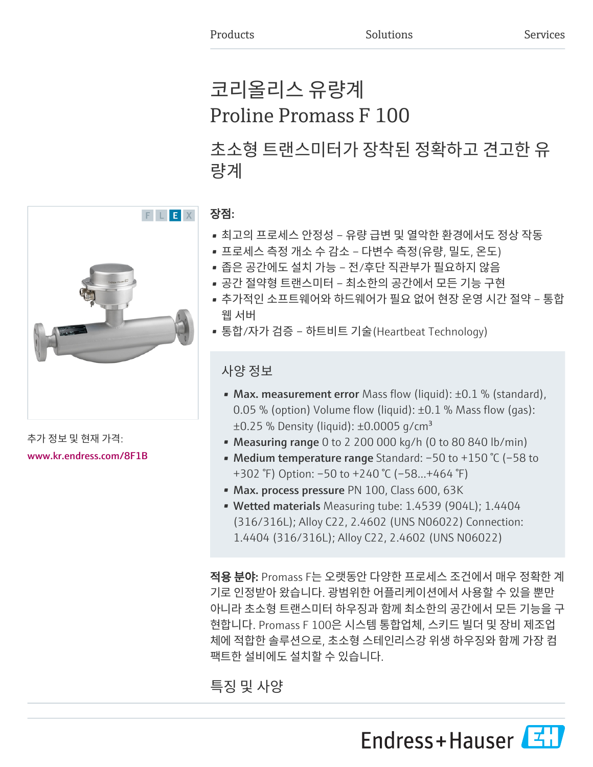# 코리올리스 유량계 Proline Promass F 100

초소형 트랜스미터가 장착된 정확하고 견고한 유 량계



추가 정보 및 현재 가격: [www.kr.endress.com/8F1B](https://www.kr.endress.com/8F1B)

# 장점:

- 최고의 프로세스 안정성 유량 급변 및 열악한 환경에서도 정상 작동
- 프로세스 측정 개소 수 감소 다변수 측정(유량, 밀도, 온도)
- 좁은 공간에도 설치 가능 전/후단 직관부가 필요하지 않음
- 공간 절약형 트랜스미터 최소한의 공간에서 모든 기능 구현
- 추가적인 소프트웨어와 하드웨어가 필요 없어 현장 운영 시간 절약 통합 웹 서버
- 통합/자가 검증 하트비트 기술(Heartbeat Technology)

# 사양 정보

- Max. measurement error Mass flow (liquid):  $\pm 0.1$  % (standard), 0.05 % (option) Volume flow (liquid): ±0.1 % Mass flow (gas):  $\pm 0.25$  % Density (liquid):  $\pm 0.0005$  g/cm<sup>3</sup>
- Measuring range 0 to 2 200 000 kg/h (0 to 80 840 lb/min)
- Medium temperature range Standard: –50 to +150 °C (–58 to +302 °F) Option: –50 to +240 °C (–58…+464 °F)
- Max. process pressure PN 100, Class 600, 63K
- Wetted materials Measuring tube: 1.4539 (904L); 1.4404 (316/316L); Alloy C22, 2.4602 (UNS N06022) Connection: 1.4404 (316/316L); Alloy C22, 2.4602 (UNS N06022)

적용 분야: Promass F는 오랫동안 다양한 프로세스 조건에서 매우 정확한 계 기로 인정받아 왔습니다. 광범위한 어플리케이션에서 사용할 수 있을 뿐만 아니라 초소형 트랜스미터 하우징과 함께 최소한의 공간에서 모든 기능을 구 현합니다. Promass F 100은 시스템 통합업체, 스키드 빌더 및 장비 제조업 체에 적합한 솔루션으로, 초소형 스테인리스강 위생 하우징와 함께 가장 컴 팩트한 설비에도 설치할 수 있습니다.

# 특징 및 사양

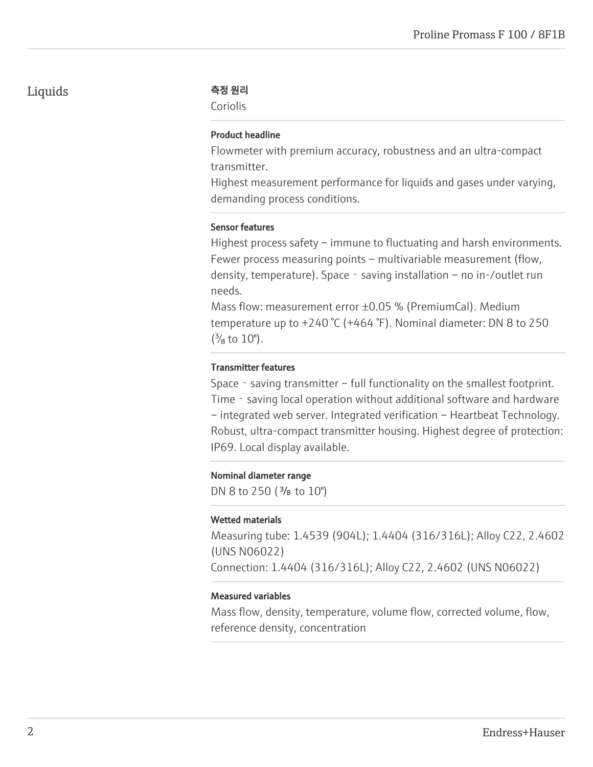# Liquids 측정 원리

Coriolis

#### Product headline

Flowmeter with premium accuracy, robustness and an ultra-compact transmitter.

Highest measurement performance for liquids and gases under varying, demanding process conditions.

#### Sensor features

Highest process safety – immune to fluctuating and harsh environments. Fewer process measuring points – multivariable measurement (flow, density, temperature). Space‐saving installation – no in-/outlet run needs.

Mass flow: measurement error ±0.05 % (PremiumCal). Medium temperature up to +240 °C (+464 °F). Nominal diameter: DN 8 to 250  $\binom{3}{8}$  to  $10$ ").

### Transmitter features

Space - saving transmitter – full functionality on the smallest footprint. Time - saving local operation without additional software and hardware – integrated web server. Integrated verification – Heartbeat Technology. Robust, ultra-compact transmitter housing. Highest degree of protection: IP69. Local display available.

#### Nominal diameter range

DN 8 to 250 ( $\frac{3}{8}$  to 10")

#### Wetted materials

Measuring tube: 1.4539 (904L); 1.4404 (316/316L); Alloy C22, 2.4602 (UNS N06022) Connection: 1.4404 (316/316L); Alloy C22, 2.4602 (UNS N06022)

#### Measured variables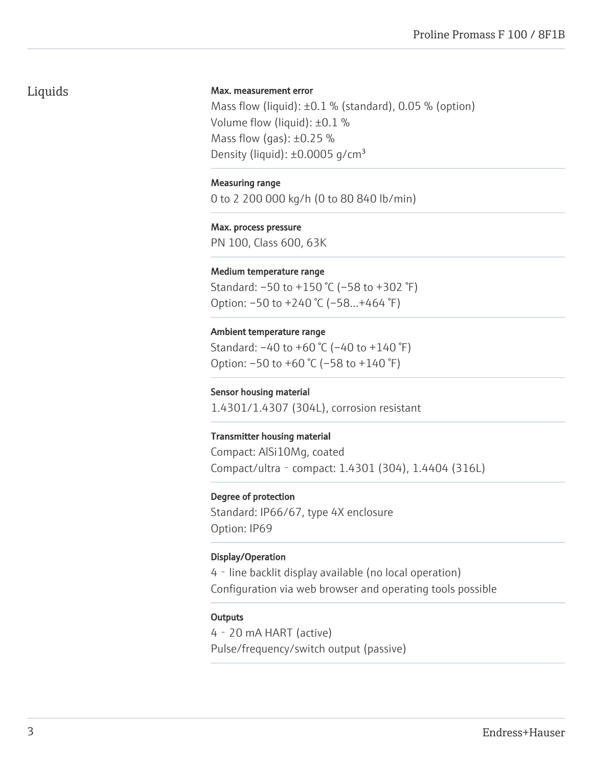# Liquids

#### Max. measurement error

Mass flow (liquid):  $\pm 0.1$  % (standard), 0.05 % (option) Volume flow (liquid): ±0.1 % Mass flow (gas):  $\pm 0.25$  % Density (liquid):  $\pm 0.0005$  g/cm<sup>3</sup>

#### Measuring range

0 to 2 200 000 kg/h (0 to 80 840 lb/min)

Max. process pressure PN 100, Class 600, 63K

#### Medium temperature range

Standard: –50 to +150 °C (–58 to +302 °F) Option: –50 to +240 °C (–58…+464 °F)

#### Ambient temperature range

Standard: –40 to +60 °C (–40 to +140 °F) Option: –50 to +60 °C (–58 to +140 °F)

#### Sensor housing material

1.4301/1.4307 (304L), corrosion resistant

#### Transmitter housing material

Compact: AlSi10Mg, coated Compact/ultra‐compact: 1.4301 (304), 1.4404 (316L)

#### Degree of protection

Standard: IP66/67, type 4X enclosure Option: IP69

#### Display/Operation

4‐line backlit display available (no local operation) Configuration via web browser and operating tools possible

#### **Outputs**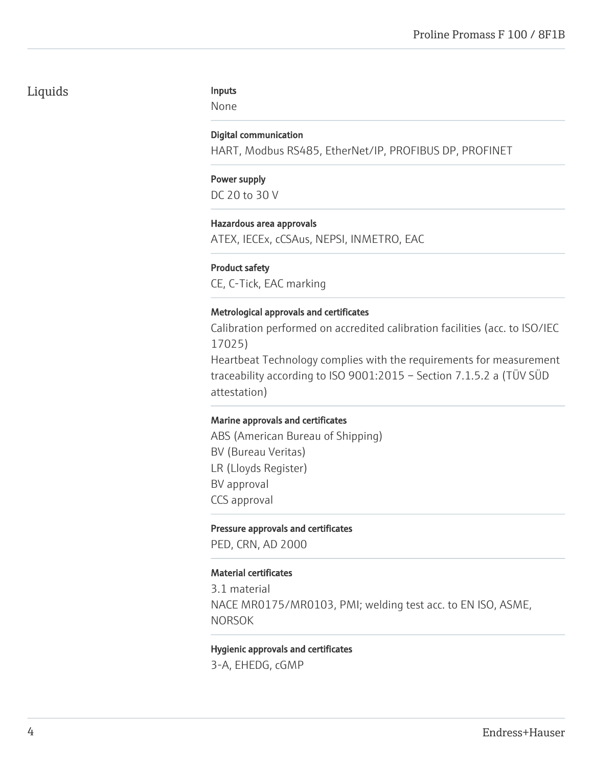# Liquids

#### Inputs

None

#### Digital communication

HART, Modbus RS485, EtherNet/IP, PROFIBUS DP, PROFINET

#### Power supply DC 20 to 30 V

#### Hazardous area approvals

ATEX, IECEx, cCSAus, NEPSI, INMETRO, EAC

#### Product safety

CE, C-Tick, EAC marking

#### Metrological approvals and certificates

Calibration performed on accredited calibration facilities (acc. to ISO/IEC 17025)

Heartbeat Technology complies with the requirements for measurement traceability according to ISO 9001:2015 – Section 7.1.5.2 a (TÜV SÜD attestation)

#### Marine approvals and certificates

ABS (American Bureau of Shipping) BV (Bureau Veritas) LR (Lloyds Register) BV approval CCS approval

#### Pressure approvals and certificates

PED, CRN, AD 2000

#### Material certificates

3.1 material NACE MR0175/MR0103, PMI; welding test acc. to EN ISO, ASME, NORSOK

#### Hygienic approvals and certificates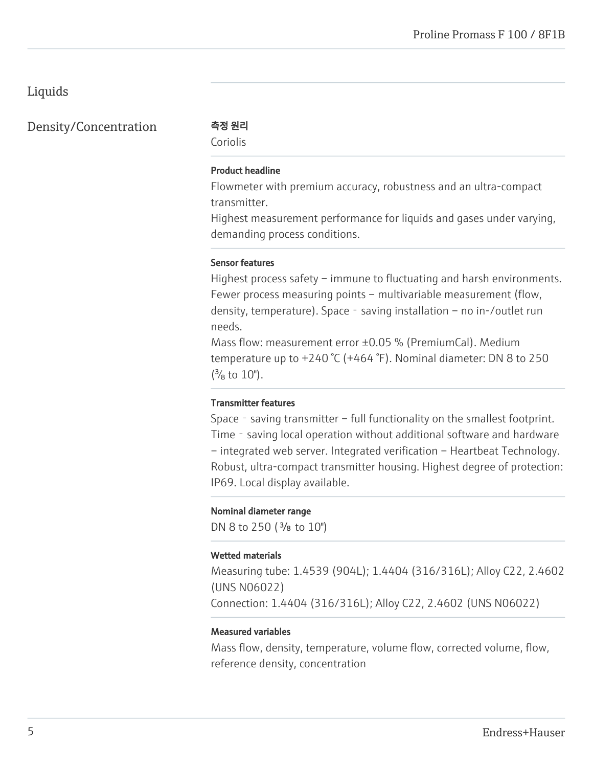# Liquids

Density/Concentration 측정 원리

Coriolis

#### Product headline

Flowmeter with premium accuracy, robustness and an ultra-compact transmitter.

Highest measurement performance for liquids and gases under varying, demanding process conditions.

#### Sensor features

Highest process safety – immune to fluctuating and harsh environments. Fewer process measuring points – multivariable measurement (flow, density, temperature). Space - saving installation – no in-/outlet run needs.

Mass flow: measurement error ±0.05 % (PremiumCal). Medium temperature up to +240 °C (+464 °F). Nominal diameter: DN 8 to 250  $\binom{3}{8}$  to  $10$ ").

#### Transmitter features

Space - saving transmitter – full functionality on the smallest footprint. Time - saving local operation without additional software and hardware – integrated web server. Integrated verification – Heartbeat Technology. Robust, ultra-compact transmitter housing. Highest degree of protection: IP69. Local display available.

#### Nominal diameter range

DN 8 to 250 ( $\frac{3}{8}$  to 10")

#### Wetted materials

Measuring tube: 1.4539 (904L); 1.4404 (316/316L); Alloy C22, 2.4602 (UNS N06022)

Connection: 1.4404 (316/316L); Alloy C22, 2.4602 (UNS N06022)

#### Measured variables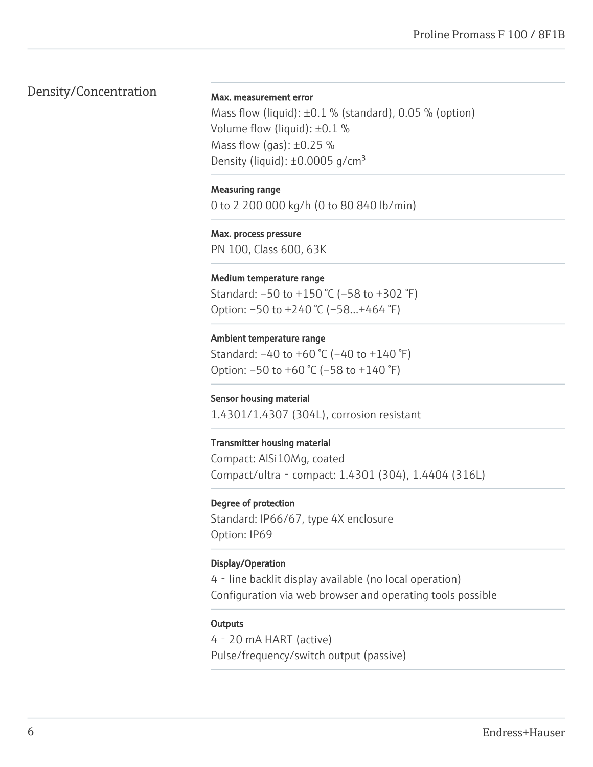# Density/Concentration

#### Max. measurement error

Mass flow (liquid):  $\pm 0.1$  % (standard), 0.05 % (option) Volume flow (liquid): ±0.1 % Mass flow (gas):  $\pm 0.25$  % Density (liquid):  $\pm 0.0005$  g/cm<sup>3</sup>

#### Measuring range

0 to 2 200 000 kg/h (0 to 80 840 lb/min)

Max. process pressure PN 100, Class 600, 63K

#### Medium temperature range

Standard: –50 to +150 °C (–58 to +302 °F) Option: –50 to +240 °C (–58…+464 °F)

#### Ambient temperature range

Standard: –40 to +60 °C (–40 to +140 °F) Option: –50 to +60 °C (–58 to +140 °F)

#### Sensor housing material

1.4301/1.4307 (304L), corrosion resistant

#### Transmitter housing material

Compact: AlSi10Mg, coated Compact/ultra‐compact: 1.4301 (304), 1.4404 (316L)

#### Degree of protection

Standard: IP66/67, type 4X enclosure Option: IP69

#### Display/Operation

4‐line backlit display available (no local operation) Configuration via web browser and operating tools possible

#### **Outputs**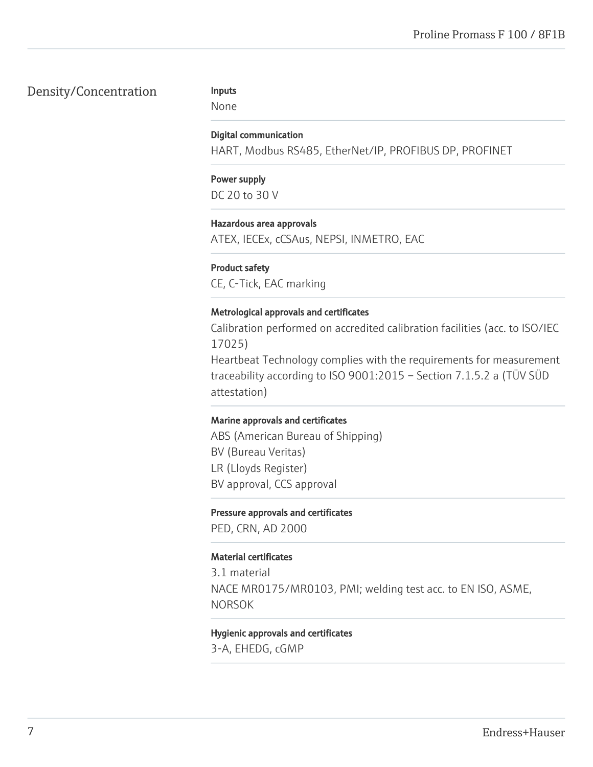# Density/Concentration

#### Inputs

None

#### Digital communication

HART, Modbus RS485, EtherNet/IP, PROFIBUS DP, PROFINET

## Power supply DC 20 to 30 V

### Hazardous area approvals

ATEX, IECEx, cCSAus, NEPSI, INMETRO, EAC

### Product safety

CE, C-Tick, EAC marking

### Metrological approvals and certificates

Calibration performed on accredited calibration facilities (acc. to ISO/IEC 17025)

Heartbeat Technology complies with the requirements for measurement traceability according to ISO 9001:2015 – Section 7.1.5.2 a (TÜV SÜD attestation)

#### Marine approvals and certificates

ABS (American Bureau of Shipping) BV (Bureau Veritas) LR (Lloyds Register) BV approval, CCS approval

#### Pressure approvals and certificates

PED, CRN, AD 2000

### Material certificates

3.1 material NACE MR0175/MR0103, PMI; welding test acc. to EN ISO, ASME, NORSOK

# Hygienic approvals and certificates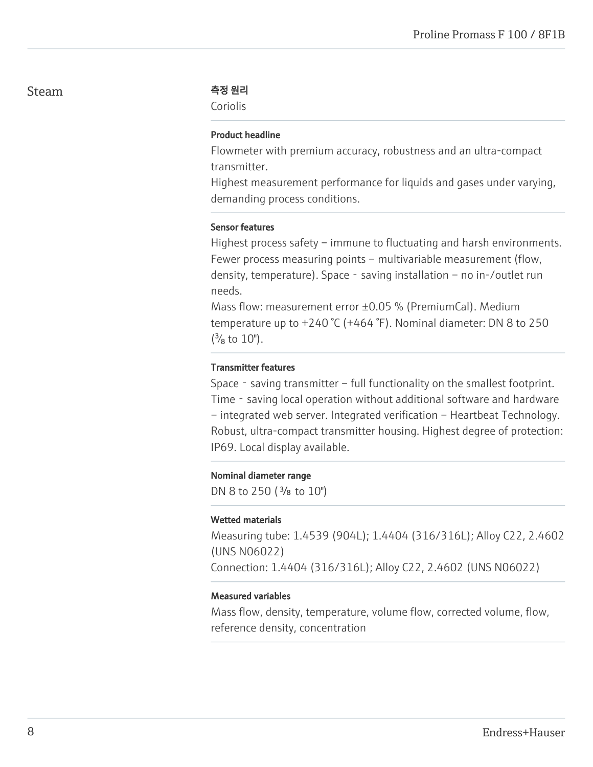#### Steam 소설 기계 축정 원리

Coriolis

#### Product headline

Flowmeter with premium accuracy, robustness and an ultra-compact transmitter.

Highest measurement performance for liquids and gases under varying, demanding process conditions.

#### Sensor features

Highest process safety – immune to fluctuating and harsh environments. Fewer process measuring points – multivariable measurement (flow, density, temperature). Space‐saving installation – no in-/outlet run needs.

Mass flow: measurement error ±0.05 % (PremiumCal). Medium temperature up to +240 °C (+464 °F). Nominal diameter: DN 8 to 250  $\binom{3}{8}$  to  $10$ ").

#### Transmitter features

Space - saving transmitter – full functionality on the smallest footprint. Time - saving local operation without additional software and hardware – integrated web server. Integrated verification – Heartbeat Technology. Robust, ultra-compact transmitter housing. Highest degree of protection: IP69. Local display available.

#### Nominal diameter range

DN 8 to 250 ( $\frac{3}{8}$  to 10")

#### Wetted materials

Measuring tube: 1.4539 (904L); 1.4404 (316/316L); Alloy C22, 2.4602 (UNS N06022) Connection: 1.4404 (316/316L); Alloy C22, 2.4602 (UNS N06022)

#### Measured variables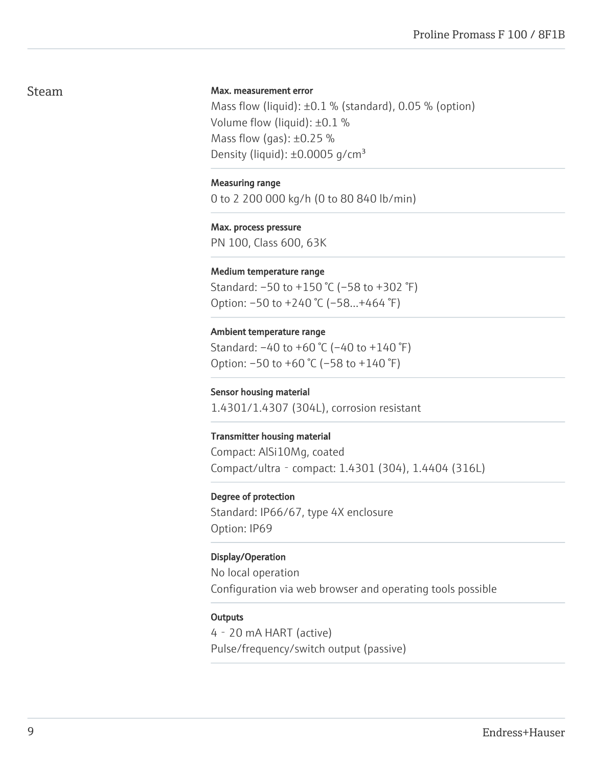## Steam

#### Max. measurement error

Mass flow (liquid):  $\pm 0.1$  % (standard), 0.05 % (option) Volume flow (liquid): ±0.1 % Mass flow (gas):  $\pm 0.25$  % Density (liquid):  $\pm 0.0005$  g/cm<sup>3</sup>

#### Measuring range

0 to 2 200 000 kg/h (0 to 80 840 lb/min)

Max. process pressure PN 100, Class 600, 63K

#### Medium temperature range

Standard: –50 to +150 °C (–58 to +302 °F) Option: –50 to +240 °C (–58…+464 °F)

Ambient temperature range Standard: –40 to +60 °C (–40 to +140 °F)

Option: –50 to +60 °C (–58 to +140 °F)

#### Sensor housing material

1.4301/1.4307 (304L), corrosion resistant

#### Transmitter housing material

Compact: AlSi10Mg, coated Compact/ultra‐compact: 1.4301 (304), 1.4404 (316L)

#### Degree of protection

Standard: IP66/67, type 4X enclosure Option: IP69

#### Display/Operation

No local operation Configuration via web browser and operating tools possible

#### **Outputs**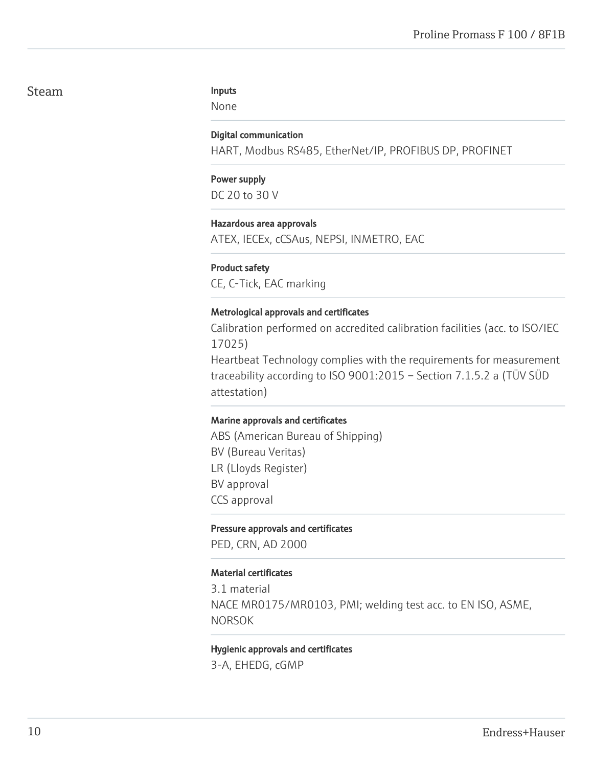### Steam

#### Inputs

None

#### Digital communication

HART, Modbus RS485, EtherNet/IP, PROFIBUS DP, PROFINET

#### Power supply DC 20 to 30 V

#### Hazardous area approvals

ATEX, IECEx, cCSAus, NEPSI, INMETRO, EAC

#### Product safety

CE, C-Tick, EAC marking

#### Metrological approvals and certificates

Calibration performed on accredited calibration facilities (acc. to ISO/IEC 17025)

Heartbeat Technology complies with the requirements for measurement traceability according to ISO 9001:2015 – Section 7.1.5.2 a (TÜV SÜD attestation)

#### Marine approvals and certificates

ABS (American Bureau of Shipping) BV (Bureau Veritas) LR (Lloyds Register) BV approval CCS approval

#### Pressure approvals and certificates

PED, CRN, AD 2000

#### Material certificates

3.1 material NACE MR0175/MR0103, PMI; welding test acc. to EN ISO, ASME, NORSOK

#### Hygienic approvals and certificates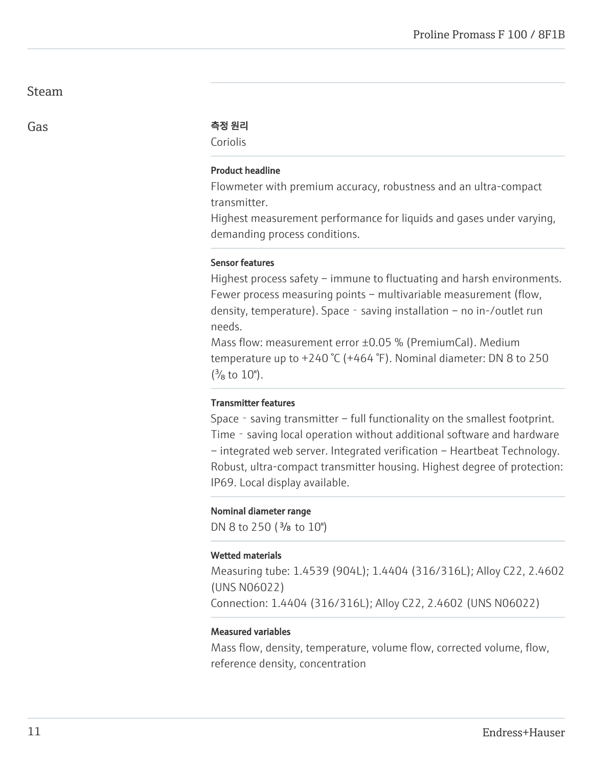### Steam

#### Gas The Contract of the AS 원리

Coriolis

#### Product headline

Flowmeter with premium accuracy, robustness and an ultra-compact transmitter.

Highest measurement performance for liquids and gases under varying, demanding process conditions.

#### Sensor features

Highest process safety – immune to fluctuating and harsh environments. Fewer process measuring points – multivariable measurement (flow, density, temperature). Space - saving installation – no in-/outlet run needs.

Mass flow: measurement error ±0.05 % (PremiumCal). Medium temperature up to +240 °C (+464 °F). Nominal diameter: DN 8 to 250  $\binom{3}{8}$  to  $10$ ").

#### Transmitter features

Space - saving transmitter – full functionality on the smallest footprint. Time - saving local operation without additional software and hardware – integrated web server. Integrated verification – Heartbeat Technology. Robust, ultra-compact transmitter housing. Highest degree of protection: IP69. Local display available.

#### Nominal diameter range

DN 8 to 250 ( $\frac{3}{8}$  to 10")

#### Wetted materials

Measuring tube: 1.4539 (904L); 1.4404 (316/316L); Alloy C22, 2.4602 (UNS N06022)

Connection: 1.4404 (316/316L); Alloy C22, 2.4602 (UNS N06022)

#### Measured variables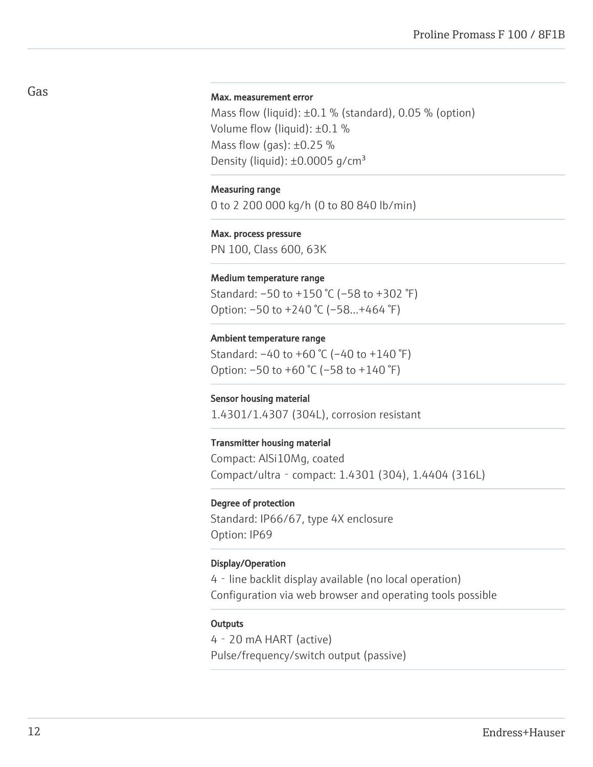#### Max. measurement error

Mass flow (liquid):  $\pm 0.1$  % (standard), 0.05 % (option) Volume flow (liquid): ±0.1 % Mass flow (gas):  $\pm 0.25$  % Density (liquid):  $\pm 0.0005$  g/cm<sup>3</sup>

#### Measuring range

0 to 2 200 000 kg/h (0 to 80 840 lb/min)

Max. process pressure PN 100, Class 600, 63K

#### Medium temperature range

Standard: –50 to +150 °C (–58 to +302 °F) Option: –50 to +240 °C (–58…+464 °F)

#### Ambient temperature range

Standard: –40 to +60 °C (–40 to +140 °F) Option: –50 to +60 °C (–58 to +140 °F)

#### Sensor housing material

1.4301/1.4307 (304L), corrosion resistant

#### Transmitter housing material

Compact: AlSi10Mg, coated Compact/ultra‐compact: 1.4301 (304), 1.4404 (316L)

#### Degree of protection

Standard: IP66/67, type 4X enclosure Option: IP69

#### Display/Operation

4‐line backlit display available (no local operation) Configuration via web browser and operating tools possible

#### **Outputs**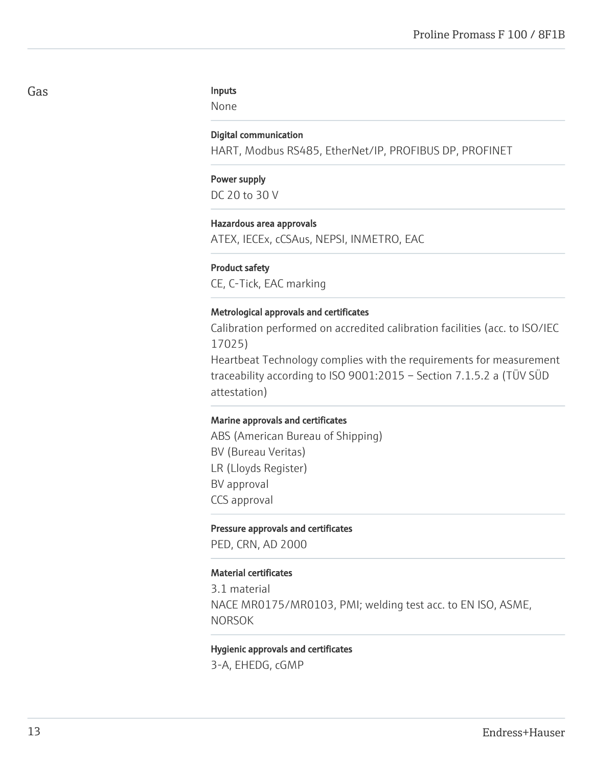#### Inputs

None

#### Digital communication

HART, Modbus RS485, EtherNet/IP, PROFIBUS DP, PROFINET

# Power supply

DC 20 to 30 V

#### Hazardous area approvals

ATEX, IECEx, cCSAus, NEPSI, INMETRO, EAC

#### Product safety

CE, C-Tick, EAC marking

#### Metrological approvals and certificates

Calibration performed on accredited calibration facilities (acc. to ISO/IEC 17025)

Heartbeat Technology complies with the requirements for measurement traceability according to ISO 9001:2015 – Section 7.1.5.2 a (TÜV SÜD attestation)

#### Marine approvals and certificates

ABS (American Bureau of Shipping) BV (Bureau Veritas) LR (Lloyds Register) BV approval CCS approval

#### Pressure approvals and certificates

PED, CRN, AD 2000

#### Material certificates

3.1 material NACE MR0175/MR0103, PMI; welding test acc. to EN ISO, ASME, NORSOK

#### Hygienic approvals and certificates